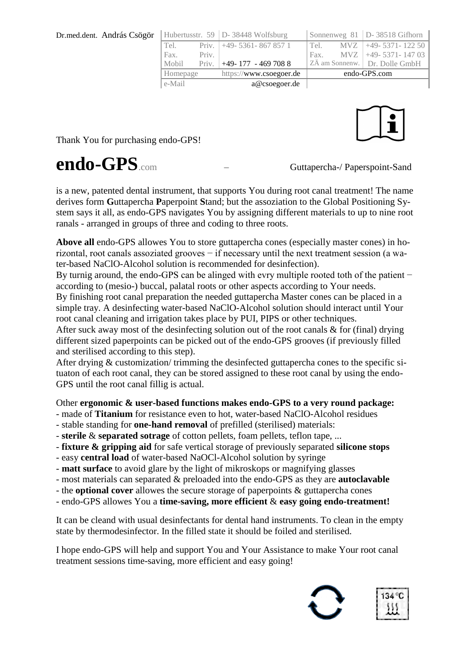| Dr.med.dent. András Csögör |          |       | Hubertusstr. 59   D- 38448 Wolfsburg |              |  | Sonnenweg $81$   D- 38518 Gifhorn |
|----------------------------|----------|-------|--------------------------------------|--------------|--|-----------------------------------|
|                            | Tel.     |       | Priv. $ +49-5361-8678571$            | Tel.         |  | $MVZ$ +49- 5371- 122 50           |
|                            | Fax.     | Priv. |                                      | Fax.         |  | $MVZ$ +49-5371-14703              |
|                            | Mobil    | Priv. | $+49-177-4697088$                    |              |  | ZÄ am Sonnenw. Dr. Dolle GmbH     |
|                            | Homepage |       | https://www.csoegoer.de              | endo-GPS.com |  |                                   |
|                            | e-Mail   |       | a@csoegoer.de                        |              |  |                                   |

Thank You for purchasing endo-GPS!

## endo-GPS.com – Guttapercha-/ Paperspoint-Sand

is a new, patented dental instrument, that supports You during root canal treatment! The name derives form **G**uttapercha **P**aperpoint **S**tand; but the assoziation to the Global Positioning System says it all, as endo-GPS navigates You by assigning different materials to up to nine root ranals - arranged in groups of three and coding to three roots.

**Above all** endo-GPS allowes You to store guttapercha cones (especially master cones) in horizontal, root canals assoziated grooves − if necessary until the next treatment session (a water-based NaClO-Alcohol solution is recommended for desinfection).

By turnig around, the endo-GPS can be alinged with evry multiple rooted toth of the patient − according to (mesio-) buccal, palatal roots or other aspects according to Your needs.

By finishing root canal preparation the needed guttapercha Master cones can be placed in a simple tray. A desinfecting water-based NaClO-Alcohol solution should interact until Your root canal cleaning and irrigation takes place by PUI, PIPS or other techniques.

After suck away most of the desinfecting solution out of the root canals & for (final) drying different sized paperpoints can be picked out of the endo-GPS grooves (if previously filled and sterilised according to this step).

After drying & customization/ trimming the desinfected guttapercha cones to the specific situaton of each root canal, they can be stored assigned to these root canal by using the endo-GPS until the root canal fillig is actual.

Other **ergonomic & user-based functions makes endo-GPS to a very round package:**

- made of **Titanium** for resistance even to hot, water-based NaClO-Alcohol residues
- stable standing for **one-hand removal** of prefilled (sterilised) materials:
- **sterile** & **separated sotrage** of cotton pellets, foam pellets, teflon tape, ...
- **fixture & gripping aid** for safe vertical storage of previously separated **silicone stops**
- easy **central load** of water-based NaOCl-Alcohol solution by syringe
- **matt surface** to avoid glare by the light of mikroskops or magnifying glasses
- most materials can separated & preloaded into the endo-GPS as they are **autoclavable**
- the **optional cover** allowes the secure storage of paperpoints & guttapercha cones
- endo-GPS allowes You a **time-saving, more efficient** & **easy going endo-treatment!**

It can be cleand with usual desinfectants for dental hand instruments. To clean in the empty state by thermodesinfector. In the filled state it should be foiled and sterilised.

I hope endo-GPS will help and support You and Your Assistance to make Your root canal treatment sessions time-saving, more efficient and easy going!